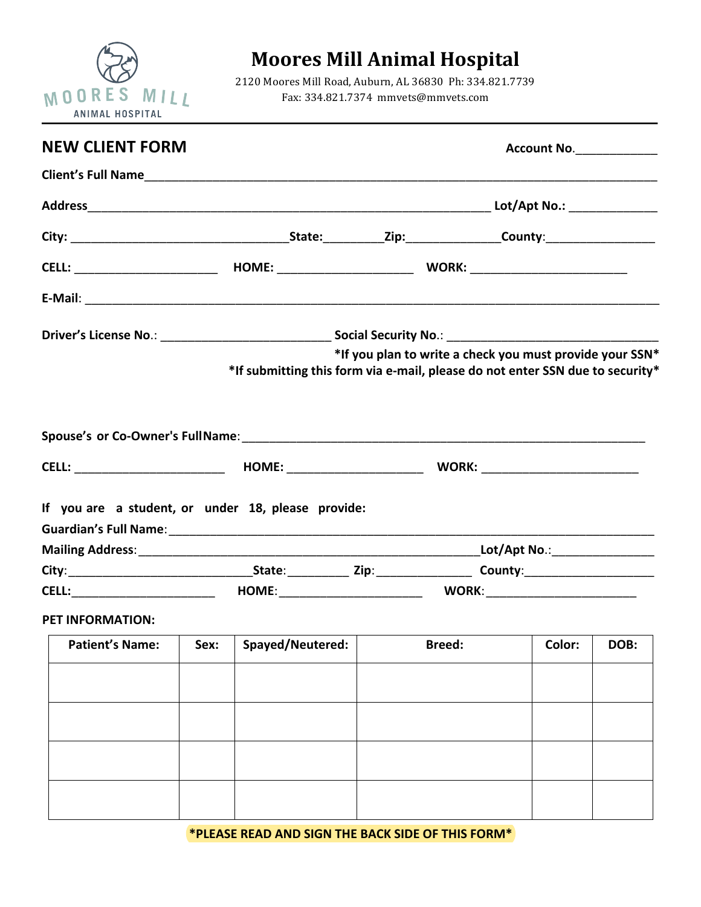

## **Moores Mill Animal Hospital**

2120 Moores Mill Road, Auburn, AL 36830 Ph: 334.821.7739 Fax: 334.821.7374 mmvets@mmvets.com

| <b>NEW CLIENT FORM</b>                                             |  |                                                                               | <b>Account No.</b> ______________ |                                                          |  |  |
|--------------------------------------------------------------------|--|-------------------------------------------------------------------------------|-----------------------------------|----------------------------------------------------------|--|--|
|                                                                    |  |                                                                               |                                   |                                                          |  |  |
|                                                                    |  |                                                                               |                                   |                                                          |  |  |
|                                                                    |  |                                                                               |                                   |                                                          |  |  |
|                                                                    |  |                                                                               |                                   |                                                          |  |  |
|                                                                    |  |                                                                               |                                   |                                                          |  |  |
|                                                                    |  | *If submitting this form via e-mail, please do not enter SSN due to security* |                                   | *If you plan to write a check you must provide your SSN* |  |  |
|                                                                    |  |                                                                               |                                   |                                                          |  |  |
| If you are a student, or under 18, please provide:                 |  |                                                                               |                                   |                                                          |  |  |
|                                                                    |  |                                                                               |                                   |                                                          |  |  |
|                                                                    |  |                                                                               |                                   |                                                          |  |  |
|                                                                    |  |                                                                               |                                   |                                                          |  |  |
| PET INFORMATION:                                                   |  |                                                                               |                                   |                                                          |  |  |
| Patient's Name: Sex: Spayed/Neutered: Breed: Spreed: Color: DOB: 1 |  |                                                                               |                                   |                                                          |  |  |
|                                                                    |  |                                                                               |                                   |                                                          |  |  |
|                                                                    |  |                                                                               |                                   |                                                          |  |  |
|                                                                    |  |                                                                               |                                   |                                                          |  |  |
|                                                                    |  |                                                                               |                                   |                                                          |  |  |

**\*PLEASE READ AND SIGN THE BACK SIDE OF THIS FORM\***